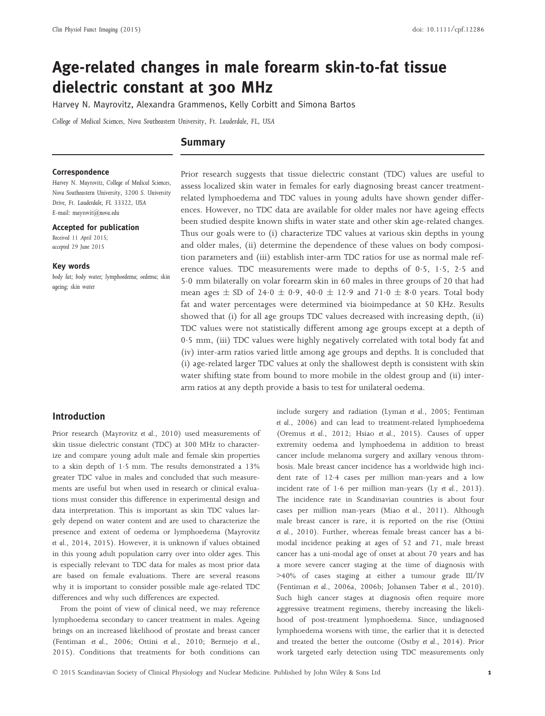# Age-related changes in male forearm skin-to-fat tissue dielectric constant at 300 MHz

Harvey N. Mayrovitz, Alexandra Grammenos, Kelly Corbitt and Simona Bartos

College of Medical Sciences, Nova Southeastern University, Ft. Lauderdale, FL, USA

# Summary

## **Correspondence**

Harvey N. Mayrovitz, College of Medical Sciences, Nova Southeastern University, 3200 S. University Drive, Ft. Lauderdale, FL 33322, USA E-mail: mayrovit@nova.edu

#### Accepted for publication

Received 11 April 2015; accepted 29 June 2015

#### Key words

body fat; body water; lymphoedema; oedema; skin ageing; skin water

Prior research suggests that tissue dielectric constant (TDC) values are useful to assess localized skin water in females for early diagnosing breast cancer treatmentrelated lymphoedema and TDC values in young adults have shown gender differences. However, no TDC data are available for older males nor have ageing effects been studied despite known shifts in water state and other skin age-related changes. Thus our goals were to (i) characterize TDC values at various skin depths in young and older males, (ii) determine the dependence of these values on body composition parameters and (iii) establish inter-arm TDC ratios for use as normal male reference values. TDC measurements were made to depths of  $0.5$ ,  $1.5$ ,  $2.5$  and 50 mm bilaterally on volar forearm skin in 60 males in three groups of 20 that had mean ages  $\pm$  SD of 24.0  $\pm$  0.9, 40.0  $\pm$  12.9 and 71.0  $\pm$  8.0 years. Total body fat and water percentages were determined via bioimpedance at 50 KHz. Results showed that (i) for all age groups TDC values decreased with increasing depth, (ii) TDC values were not statistically different among age groups except at a depth of 05 mm, (iii) TDC values were highly negatively correlated with total body fat and (iv) inter-arm ratios varied little among age groups and depths. It is concluded that (i) age-related larger TDC values at only the shallowest depth is consistent with skin water shifting state from bound to more mobile in the oldest group and (ii) interarm ratios at any depth provide a basis to test for unilateral oedema.

# Introduction

Prior research (Mayrovitz et al., 2010) used measurements of skin tissue dielectric constant (TDC) at 300 MHz to characterize and compare young adult male and female skin properties to a skin depth of 1.5 mm. The results demonstrated a 13% greater TDC value in males and concluded that such measurements are useful but when used in research or clinical evaluations must consider this difference in experimental design and data interpretation. This is important as skin TDC values largely depend on water content and are used to characterize the presence and extent of oedema or lymphoedema (Mayrovitz et al., 2014, 2015). However, it is unknown if values obtained in this young adult population carry over into older ages. This is especially relevant to TDC data for males as most prior data are based on female evaluations. There are several reasons why it is important to consider possible male age-related TDC differences and why such differences are expected.

From the point of view of clinical need, we may reference lymphoedema secondary to cancer treatment in males. Ageing brings on an increased likelihood of prostate and breast cancer (Fentiman et al., 2006; Ottini et al., 2010; Bermejo et al., 2015). Conditions that treatments for both conditions can include surgery and radiation (Lyman et al., 2005; Fentiman et al., 2006) and can lead to treatment-related lymphoedema (Oremus et al., 2012; Hsiao et al., 2015). Causes of upper extremity oedema and lymphoedema in addition to breast cancer include melanoma surgery and axillary venous thrombosis. Male breast cancer incidence has a worldwide high incident rate of 124 cases per million man-years and a low incident rate of  $1.6$  per million man-years (Ly et al., 2013). The incidence rate in Scandinavian countries is about four cases per million man-years (Miao et al., 2011). Although male breast cancer is rare, it is reported on the rise (Ottini et al., 2010). Further, whereas female breast cancer has a bimodal incidence peaking at ages of 52 and 71, male breast cancer has a uni-modal age of onset at about 70 years and has a more severe cancer staging at the time of diagnosis with >40% of cases staging at either a tumour grade III/IV (Fentiman et al., 2006a, 2006b; Johansen Taber et al., 2010). Such high cancer stages at diagnosis often require more aggressive treatment regimens, thereby increasing the likelihood of post-treatment lymphoedema. Since, undiagnosed lymphoedema worsens with time, the earlier that it is detected and treated the better the outcome (Ostby et al., 2014). Prior work targeted early detection using TDC measurements only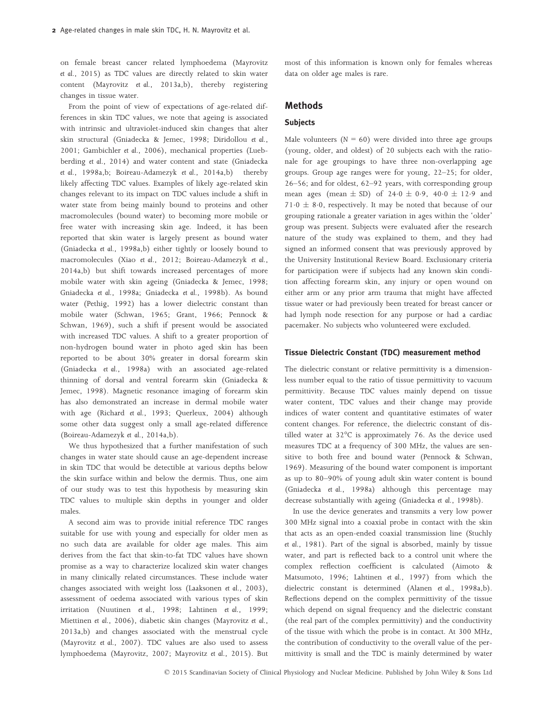on female breast cancer related lymphoedema (Mayrovitz et al., 2015) as TDC values are directly related to skin water content (Mayrovitz et al., 2013a,b), thereby registering changes in tissue water.

From the point of view of expectations of age-related differences in skin TDC values, we note that ageing is associated with intrinsic and ultraviolet-induced skin changes that alter skin structural (Gniadecka & Jemec, 1998; Diridollou et al., 2001; Gambichler et al., 2006), mechanical properties (Luebberding et al., 2014) and water content and state (Gniadecka et al., 1998a,b; Boireau-Adamezyk et al., 2014a,b) thereby likely affecting TDC values. Examples of likely age-related skin changes relevant to its impact on TDC values include a shift in water state from being mainly bound to proteins and other macromolecules (bound water) to becoming more mobile or free water with increasing skin age. Indeed, it has been reported that skin water is largely present as bound water (Gniadecka et al., 1998a,b) either tightly or loosely bound to macromolecules (Xiao et al., 2012; Boireau-Adamezyk et al., 2014a,b) but shift towards increased percentages of more mobile water with skin ageing (Gniadecka & Jemec, 1998; Gniadecka et al., 1998a; Gniadecka et al., 1998b). As bound water (Pethig, 1992) has a lower dielectric constant than mobile water (Schwan, 1965; Grant, 1966; Pennock & Schwan, 1969), such a shift if present would be associated with increased TDC values. A shift to a greater proportion of non-hydrogen bound water in photo aged skin has been reported to be about 30% greater in dorsal forearm skin (Gniadecka et al., 1998a) with an associated age-related thinning of dorsal and ventral forearm skin (Gniadecka & Jemec, 1998). Magnetic resonance imaging of forearm skin has also demonstrated an increase in dermal mobile water with age (Richard et al., 1993; Querleux, 2004) although some other data suggest only a small age-related difference (Boireau-Adamezyk et al., 2014a,b).

We thus hypothesized that a further manifestation of such changes in water state should cause an age-dependent increase in skin TDC that would be detectible at various depths below the skin surface within and below the dermis. Thus, one aim of our study was to test this hypothesis by measuring skin TDC values to multiple skin depths in younger and older males.

A second aim was to provide initial reference TDC ranges suitable for use with young and especially for older men as no such data are available for older age males. This aim derives from the fact that skin-to-fat TDC values have shown promise as a way to characterize localized skin water changes in many clinically related circumstances. These include water changes associated with weight loss (Laaksonen et al., 2003), assessment of oedema associated with various types of skin irritation (Nuutinen et al., 1998; Lahtinen et al., 1999; Miettinen et al., 2006), diabetic skin changes (Mayrovitz et al., 2013a,b) and changes associated with the menstrual cycle (Mayrovitz et al., 2007). TDC values are also used to assess lymphoedema (Mayrovitz, 2007; Mayrovitz et al., 2015). But most of this information is known only for females whereas data on older age males is rare.

# Methods

## **Subjects**

Male volunteers  $(N = 60)$  were divided into three age groups (young, older, and oldest) of 20 subjects each with the rationale for age groupings to have three non-overlapping age groups. Group age ranges were for young, 22–25; for older, 26–56; and for oldest, 62–92 years, with corresponding group mean ages (mean  $\pm$  SD) of 24.0  $\pm$  0.9, 40.0  $\pm$  12.9 and  $71.0 \pm 8.0$ , respectively. It may be noted that because of our grouping rationale a greater variation in ages within the 'older' group was present. Subjects were evaluated after the research nature of the study was explained to them, and they had signed an informed consent that was previously approved by the University Institutional Review Board. Exclusionary criteria for participation were if subjects had any known skin condition affecting forearm skin, any injury or open wound on either arm or any prior arm trauma that might have affected tissue water or had previously been treated for breast cancer or had lymph node resection for any purpose or had a cardiac pacemaker. No subjects who volunteered were excluded.

# Tissue Dielectric Constant (TDC) measurement method

The dielectric constant or relative permittivity is a dimensionless number equal to the ratio of tissue permittivity to vacuum permittivity. Because TDC values mainly depend on tissue water content, TDC values and their change may provide indices of water content and quantitative estimates of water content changes. For reference, the dielectric constant of distilled water at 32°C is approximately 76. As the device used measures TDC at a frequency of 300 MHz, the values are sensitive to both free and bound water (Pennock & Schwan, 1969). Measuring of the bound water component is important as up to 80–90% of young adult skin water content is bound (Gniadecka et al., 1998a) although this percentage may decrease substantially with ageing (Gniadecka et al., 1998b).

In use the device generates and transmits a very low power 300 MHz signal into a coaxial probe in contact with the skin that acts as an open-ended coaxial transmission line (Stuchly et al., 1981). Part of the signal is absorbed, mainly by tissue water, and part is reflected back to a control unit where the complex reflection coefficient is calculated (Aimoto & Matsumoto, 1996; Lahtinen et al., 1997) from which the dielectric constant is determined (Alanen et al., 1998a,b). Reflections depend on the complex permittivity of the tissue which depend on signal frequency and the dielectric constant (the real part of the complex permittivity) and the conductivity of the tissue with which the probe is in contact. At 300 MHz, the contribution of conductivity to the overall value of the permittivity is small and the TDC is mainly determined by water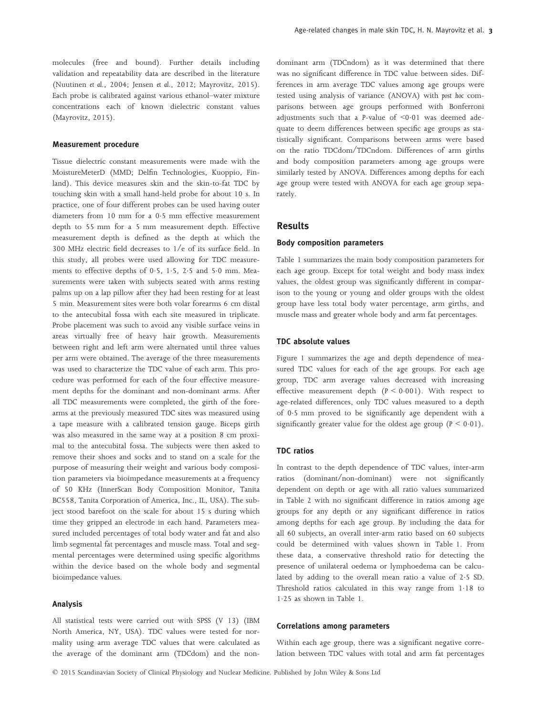#### Measurement procedure

Tissue dielectric constant measurements were made with the MoistureMeterD (MMD; Delfin Technologies, Kuoppio, Finland). This device measures skin and the skin-to-fat TDC by touching skin with a small hand-held probe for about 10 s. In practice, one of four different probes can be used having outer diameters from 10 mm for a 0.5 mm effective measurement depth to 55 mm for a 5 mm measurement depth. Effective measurement depth is defined as the depth at which the 300 MHz electric field decreases to 1/e of its surface field. In this study, all probes were used allowing for TDC measurements to effective depths of  $0.5$ ,  $1.5$ ,  $2.5$  and  $5.0$  mm. Measurements were taken with subjects seated with arms resting palms up on a lap pillow after they had been resting for at least 5 min. Measurement sites were both volar forearms 6 cm distal to the antecubital fossa with each site measured in triplicate. Probe placement was such to avoid any visible surface veins in areas virtually free of heavy hair growth. Measurements between right and left arm were alternated until three values per arm were obtained. The average of the three measurements was used to characterize the TDC value of each arm. This procedure was performed for each of the four effective measurement depths for the dominant and non-dominant arms. After all TDC measurements were completed, the girth of the forearms at the previously measured TDC sites was measured using a tape measure with a calibrated tension gauge. Biceps girth was also measured in the same way at a position 8 cm proximal to the antecubital fossa. The subjects were then asked to remove their shoes and socks and to stand on a scale for the purpose of measuring their weight and various body composition parameters via bioimpedance measurements at a frequency of 50 KHz (InnerScan Body Composition Monitor, Tanita BC558, Tanita Corporation of America, Inc., IL, USA). The subject stood barefoot on the scale for about 15 s during which time they gripped an electrode in each hand. Parameters measured included percentages of total body water and fat and also limb segmental fat percentages and muscle mass. Total and segmental percentages were determined using specific algorithms within the device based on the whole body and segmental bioimpedance values.

## Analysis

All statistical tests were carried out with SPSS (V 13) (IBM North America, NY, USA). TDC values were tested for normality using arm average TDC values that were calculated as the average of the dominant arm (TDCdom) and the nondominant arm (TDCndom) as it was determined that there was no significant difference in TDC value between sides. Differences in arm average TDC values among age groups were tested using analysis of variance (ANOVA) with post hoc comparisons between age groups performed with Bonferroni adjustments such that a P-value of  $\leq 0.01$  was deemed adequate to deem differences between specific age groups as statistically significant. Comparisons between arms were based on the ratio TDCdom/TDCndom. Differences of arm girths and body composition parameters among age groups were similarly tested by ANOVA. Differences among depths for each age group were tested with ANOVA for each age group separately.

# Results

# Body composition parameters

Table 1 summarizes the main body composition parameters for each age group. Except for total weight and body mass index values, the oldest group was significantly different in comparison to the young or young and older groups with the oldest group have less total body water percentage, arm girths, and muscle mass and greater whole body and arm fat percentages.

## TDC absolute values

Figure 1 summarizes the age and depth dependence of measured TDC values for each of the age groups. For each age group, TDC arm average values decreased with increasing effective measurement depth  $(P < 0.001)$ . With respect to age-related differences, only TDC values measured to a depth of 05 mm proved to be significantly age dependent with a significantly greater value for the oldest age group ( $P < 0.01$ ).

## TDC ratios

In contrast to the depth dependence of TDC values, inter-arm ratios (dominant/non-dominant) were not significantly dependent on depth or age with all ratio values summarized in Table 2 with no significant difference in ratios among age groups for any depth or any significant difference in ratios among depths for each age group. By including the data for all 60 subjects, an overall inter-arm ratio based on 60 subjects could be determined with values shown in Table 1. From these data, a conservative threshold ratio for detecting the presence of unilateral oedema or lymphoedema can be calculated by adding to the overall mean ratio a value of 25 SD. Threshold ratios calculated in this way range from 1.18 to 125 as shown in Table 1.

# Correlations among parameters

Within each age group, there was a significant negative correlation between TDC values with total and arm fat percentages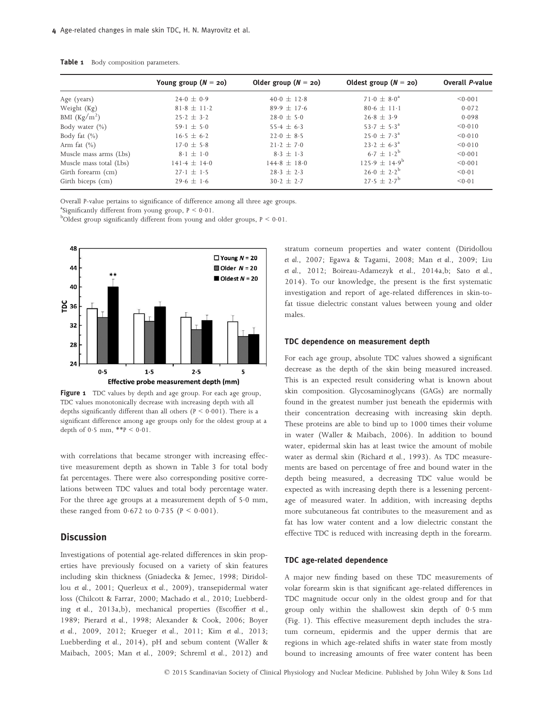|                         | Young group $(N = 20)$ | Older group $(N = 20)$ | Oldest group $(N = 20)$ | <b>Overall P-value</b> |
|-------------------------|------------------------|------------------------|-------------------------|------------------------|
| Age (years)             | $24.0 \pm 0.9$         | $40.0 + 12.8$          | $71.0 \pm 8.0^a$        | < 0.001                |
| Weight (Kg)             | $81.8 \pm 11.2$        | $89.9 \pm 17.6$        | $80.6 \pm 11.1$         | 0.072                  |
| BMI $(Kg/m2)$           | $25.2 \pm 3.2$         | $28.0 \pm 5.0$         | $26.8 \pm 3.9$          | 0.098                  |
| Body water $(\% )$      | $59.1 \pm 5.0$         | $55.4 \pm 6.3$         | $53.7 + 5.3^{\circ}$    | < 0.010                |
| Body fat $(\%)$         | $16.5 \pm 6.2$         | $22.0 \pm 8.5$         | $25.0 \pm 7.3^{\circ}$  | < 0.010                |
| Arm fat $(\% )$         | $17.0 \pm 5.8$         | $21.2 + 7.0$           | $23.2 + 6.3^{\circ}$    | < 0.010                |
| Muscle mass arms (Lbs)  | $8.1 + 1.0$            | $8.3 + 1.3$            | $6.7 + 1.2^{b}$         | < 0.001                |
| Muscle mass total (Lbs) | $141.4 \pm 14.0$       | $144.8 + 18.0$         | $125.9 + 14.9^b$        | < 0.001                |
| Girth forearm (cm)      | $27.1 + 1.5$           | $28.3 \pm 2.3$         | $26.0 \pm 2.2^b$        | < 0.01                 |
| Girth biceps (cm)       | $29.6 \pm 1.6$         | $30.2 + 2.7$           | $27.5 + 2.7^b$          | < 0.01                 |

Table 1 Body composition parameters.

Overall P-value pertains to significance of difference among all three age groups.

<sup>a</sup>Significantly different from young group,  $P \le 0.01$ .

 $^{b}$ Oldest group significantly different from young and older groups,  $P \le 0.01$ .



Figure 1 TDC values by depth and age group. For each age group, TDC values monotonically decrease with increasing depth with all depths significantly different than all others ( $P < 0.001$ ). There is a significant difference among age groups only for the oldest group at a depth of 0.5 mm,  $**P < 0.01$ .

with correlations that became stronger with increasing effective measurement depth as shown in Table 3 for total body fat percentages. There were also corresponding positive correlations between TDC values and total body percentage water. For the three age groups at a measurement depth of 5.0 mm, these ranged from  $0.672$  to  $0.735$  ( $P < 0.001$ ).

# **Discussion**

Investigations of potential age-related differences in skin properties have previously focused on a variety of skin features including skin thickness (Gniadecka & Jemec, 1998; Diridollou et al., 2001; Querleux et al., 2009), transepidermal water loss (Chilcott & Farrar, 2000; Machado et al., 2010; Luebberding et al., 2013a,b), mechanical properties (Escoffier et al., 1989; Pierard et al., 1998; Alexander & Cook, 2006; Boyer et al., 2009, 2012; Krueger et al., 2011; Kim et al., 2013; Luebberding et al., 2014), pH and sebum content (Waller & Maibach, 2005; Man et al., 2009; Schreml et al., 2012) and stratum corneum properties and water content (Diridollou et al., 2007; Egawa & Tagami, 2008; Man et al., 2009; Liu et al., 2012; Boireau-Adamezyk et al., 2014a,b; Sato et al., 2014). To our knowledge, the present is the first systematic investigation and report of age-related differences in skin-tofat tissue dielectric constant values between young and older males.

## TDC dependence on measurement depth

For each age group, absolute TDC values showed a significant decrease as the depth of the skin being measured increased. This is an expected result considering what is known about skin composition. Glycosaminoglycans (GAGs) are normally found in the greatest number just beneath the epidermis with their concentration decreasing with increasing skin depth. These proteins are able to bind up to 1000 times their volume in water (Waller & Maibach, 2006). In addition to bound water, epidermal skin has at least twice the amount of mobile water as dermal skin (Richard et al., 1993). As TDC measurements are based on percentage of free and bound water in the depth being measured, a decreasing TDC value would be expected as with increasing depth there is a lessening percentage of measured water. In addition, with increasing depths more subcutaneous fat contributes to the measurement and as fat has low water content and a low dielectric constant the effective TDC is reduced with increasing depth in the forearm.

#### TDC age-related dependence

A major new finding based on these TDC measurements of volar forearm skin is that significant age-related differences in TDC magnitude occur only in the oldest group and for that group only within the shallowest skin depth of 05 mm (Fig. 1). This effective measurement depth includes the stratum corneum, epidermis and the upper dermis that are regions in which age-related shifts in water state from mostly bound to increasing amounts of free water content has been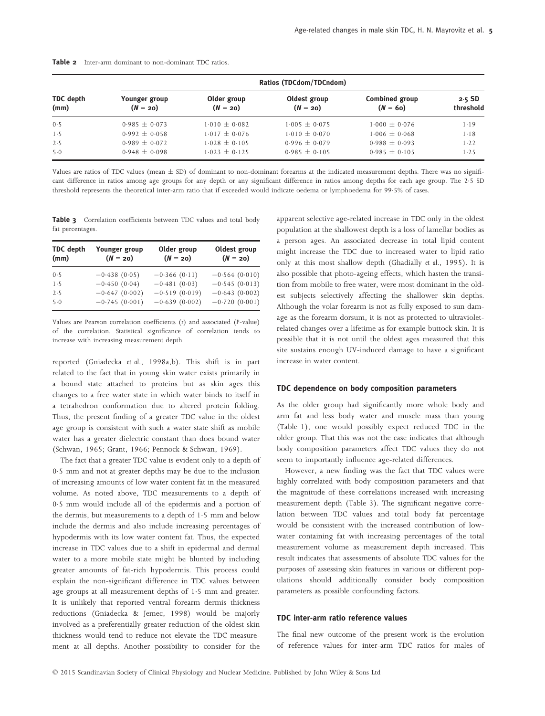|                   | Ratios (TDCdom/TDCndom)     |                           |                            |                                     |                       |  |  |
|-------------------|-----------------------------|---------------------------|----------------------------|-------------------------------------|-----------------------|--|--|
| TDC depth<br>(mm) | Younger group<br>$(N = 20)$ | Older group<br>$(N = 20)$ | Oldest group<br>$(N = 20)$ | <b>Combined group</b><br>$(N = 60)$ | $2.5$ SD<br>threshold |  |  |
| 0.5               | $0.985 \pm 0.073$           | $1.010 \pm 0.082$         | $1.005 \pm 0.075$          | $1.000 \pm 0.076$                   | 1.19                  |  |  |
| 1.5               | $0.992 + 0.058$             | $1.017 + 0.076$           | $1.010 + 0.070$            | $1.006 \pm 0.068$                   | $1 - 18$              |  |  |
| 2.5               | $0.989 + 0.072$             | $1.028 + 0.105$           | $0.996 + 0.079$            | $0.988 \pm 0.093$                   | $1 - 22$              |  |  |
| 5.0               | $0.948 \pm 0.098$           | $1.023 + 0.125$           | $0.985 + 0.105$            | $0.985 + 0.105$                     | $1 - 25$              |  |  |

Table 2 Inter-arm dominant to non-dominant TDC ratios.

Values are ratios of TDC values (mean  $\pm$  SD) of dominant to non-dominant forearms at the indicated measurement depths. There was no significant difference in ratios among age groups for any depth or any significant difference in ratios among depths for each age group. The 25 SD threshold represents the theoretical inter-arm ratio that if exceeded would indicate oedema or lymphoedema for 995% of cases.

Table 3 Correlation coefficients between TDC values and total body fat percentages.

| <b>TDC</b> depth<br>(mm) | Younger group<br>$(N = 20)$ | Older group<br>$(N = 20)$ | Oldest group<br>$(N = 20)$ |
|--------------------------|-----------------------------|---------------------------|----------------------------|
| 0.5                      | $-0.438(0.05)$              | $-0.366(0.11)$            | $-0.564(0.010)$            |
| 1.5                      | $-0.450(0.04)$              | $-0.481(0.03)$            | $-0.545(0.013)$            |
| 2.5                      | $-0.647(0.002)$             | $-0.519(0.019)$           | $-0.643(0.002)$            |
| 5.0                      | $-0.745(0.001)$             | $-0.639(0.002)$           | $-0.720(0.001)$            |

Values are Pearson correlation coefficients (r) and associated (P-value) of the correlation. Statistical significance of correlation tends to increase with increasing measurement depth.

reported (Gniadecka et al., 1998a,b). This shift is in part related to the fact that in young skin water exists primarily in a bound state attached to proteins but as skin ages this changes to a free water state in which water binds to itself in a tetrahedron conformation due to altered protein folding. Thus, the present finding of a greater TDC value in the oldest age group is consistent with such a water state shift as mobile water has a greater dielectric constant than does bound water (Schwan, 1965; Grant, 1966; Pennock & Schwan, 1969).

The fact that a greater TDC value is evident only to a depth of 05 mm and not at greater depths may be due to the inclusion of increasing amounts of low water content fat in the measured volume. As noted above, TDC measurements to a depth of 05 mm would include all of the epidermis and a portion of the dermis, but measurements to a depth of  $1.5 \text{ mm}$  and below include the dermis and also include increasing percentages of hypodermis with its low water content fat. Thus, the expected increase in TDC values due to a shift in epidermal and dermal water to a more mobile state might be blunted by including greater amounts of fat-rich hypodermis. This process could explain the non-significant difference in TDC values between age groups at all measurement depths of 1.5 mm and greater. It is unlikely that reported ventral forearm dermis thickness reductions (Gniadecka & Jemec, 1998) would be majorly involved as a preferentially greater reduction of the oldest skin thickness would tend to reduce not elevate the TDC measurement at all depths. Another possibility to consider for the apparent selective age-related increase in TDC only in the oldest population at the shallowest depth is a loss of lamellar bodies as a person ages. An associated decrease in total lipid content might increase the TDC due to increased water to lipid ratio only at this most shallow depth (Ghadially et al., 1995). It is also possible that photo-ageing effects, which hasten the transition from mobile to free water, were most dominant in the oldest subjects selectively affecting the shallower skin depths. Although the volar forearm is not as fully exposed to sun damage as the forearm dorsum, it is not as protected to ultravioletrelated changes over a lifetime as for example buttock skin. It is possible that it is not until the oldest ages measured that this site sustains enough UV-induced damage to have a significant increase in water content.

#### TDC dependence on body composition parameters

As the older group had significantly more whole body and arm fat and less body water and muscle mass than young (Table 1), one would possibly expect reduced TDC in the older group. That this was not the case indicates that although body composition parameters affect TDC values they do not seem to importantly influence age-related differences.

However, a new finding was the fact that TDC values were highly correlated with body composition parameters and that the magnitude of these correlations increased with increasing measurement depth (Table 3). The significant negative correlation between TDC values and total body fat percentage would be consistent with the increased contribution of lowwater containing fat with increasing percentages of the total measurement volume as measurement depth increased. This result indicates that assessments of absolute TDC values for the purposes of assessing skin features in various or different populations should additionally consider body composition parameters as possible confounding factors.

## TDC inter-arm ratio reference values

The final new outcome of the present work is the evolution of reference values for inter-arm TDC ratios for males of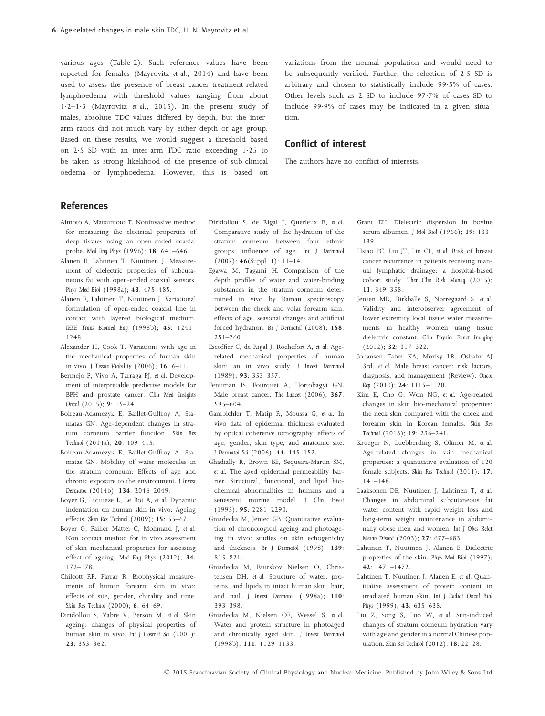various ages (Table 2). Such reference values have been reported for females (Mayrovitz et al., 2014) and have been used to assess the presence of breast cancer treatment-related lymphoedema with threshold values ranging from about  $1.2-1.3$  (Mayrovitz et al., 2015). In the present study of males, absolute TDC values differed by depth, but the interarm ratios did not much vary by either depth or age group. Based on these results, we would suggest a threshold based on 25 SD with an inter-arm TDC ratio exceeding 125 to be taken as strong likelihood of the presence of sub-clinical oedema or lymphoedema. However, this is based on variations from the normal population and would need to be subsequently verified. Further, the selection of 25 SD is arbitrary and chosen to statistically include 99.5% of cases. Other levels such as 2 SD to include 977% of cases SD to include 999% of cases may be indicated in a given situation.

# Conflict of interest

The authors have no conflict of interests.

# References

- Aimoto A, Matsumoto T. Noninvasive method for measuring the electrical properties of deep tissues using an open-ended coaxial probe. Med Eng Phys (1996); 18: 641–646.
- Alanen E, Lahtinen T, Nuutinen J. Measurement of dielectric properties of subcutaneous fat with open-ended coaxial sensors. Phys Med Biol (1998a); 43: 475–485.
- Alanen E, Lahtinen T, Nuutinen J. Variational formulation of open-ended coaxial line in contact with layered biological medium. IEEE Trans Biomed Eng (1998b); 45: 1241– 1248.
- Alexander H, Cook T. Variations with age in the mechanical properties of human skin in vivo. J Tissue Viability (2006); 16: 6–11.
- Bermejo P, Vivo A, Tarraga PJ, et al. Development of interpretable predictive models for BPH and prostate cancer. Clin Med Insights Oncol (2015); 9: 15–24.
- Boireau-Adamezyk E, Baillet-Guffroy A, Stamatas GN. Age-dependent changes in stratum corneum barrier function. Skin Res Technol (2014a); 20: 409–415.
- Boireau-Adamezyk E, Baillet-Guffroy A, Stamatas GN. Mobility of water molecules in the stratum corneum: Effects of age and chronic exposure to the environment. J Invest Dermatol (2014b); 134: 2046–2049.
- Boyer G, Laquieze L, Le Bot A, et al. Dynamic indentation on human skin in vivo: Ageing effects. Skin Res Technol (2009); 15: 55–67.
- Boyer G, Pailler Mattei C, Molimard J, et al. Non contact method for in vivo assessment of skin mechanical properties for assessing effect of ageing. Med Eng Phys (2012); 34: 172–178.
- Chilcott RP, Farrar R. Biophysical measurements of human forearm skin in vivo: effects of site, gender, chirality and time. Skin Res Technol (2000); 6: 64–69.
- Diridollou S, Vabre V, Berson M, et al. Skin ageing: changes of physical properties of human skin in vivo. Int J Cosmet Sci (2001); 23: 353–362.
- Diridollou S, de Rigal J, Querleux B, et al. Comparative study of the hydration of the stratum corneum between four ethnic groups: influence of age. Int J Dermatol (2007); 46(Suppl. 1): 11–14.
- Egawa M, Tagami H. Comparison of the depth profiles of water and water-binding substances in the stratum corneum determined in vivo by Raman spectroscopy between the cheek and volar forearm skin: effects of age, seasonal changes and artificial forced hydration. Br J Dermatol (2008); 158:  $2.51 - 2.60$ .
- Escoffier C, de Rigal J, Rochefort A, et al. Agerelated mechanical properties of human skin: an in vivo study. J Invest Dermatol (1989); 93: 353–357.
- Fentiman IS, Fourquet A, Hortobagyi GN. Male breast cancer. The Lancet (2006); 367: 595–604.
- Gambichler T, Matip R, Moussa G, et al. In vivo data of epidermal thickness evaluated by optical coherence tomography: effects of age, gender, skin type, and anatomic site. J Dermatol Sci (2006); 44: 145–152.
- Ghadially R, Brown BE, Sequeira-Martin SM, et al. The aged epidermal permeability barrier. Structural, functional, and lipid biochemical abnormalities in humans and a senescent murine model. J Clin Invest (1995); 95: 2281–2290.
- Gniadecka M, Jemec GB. Quantitative evaluation of chronological ageing and photoageing in vivo: studies on skin echogenicity and thickness. Br J Dermatol (1998); 139: 815–821.
- Gniadecka M, Faurskov Nielsen O, Christensen DH, et al. Structure of water, proteins, and lipids in intact human skin, hair, and nail. J Invest Dermatol (1998a); 110: 393–398.
- Gniadecka M, Nielsen OF, Wessel S, et al. Water and protein structure in photoaged and chronically aged skin. J Invest Dermatol (1998b); 111: 1129–1133.
- Grant EH. Dielectric dispersion in bovine serum albumen. J Mol Biol (1966); 19: 133– 139.
- Hsiao PC, Liu JT, Lin CL, et al. Risk of breast cancer recurrence in patients receiving manual lymphatic drainage: a hospital-based cohort study. Ther Clin Risk Manag (2015); 11: 349–358.
- Jensen MR, Birkballe S, Nørregaard S, et al. Validity and interobserver agreement of lower extremity local tissue water measurements in healthy women using tissue dielectric constant. Clin Physiol Funct Imaging (2012); 32: 317–322.
- Johansen Taber KA, Morisy LR, Osbahr AJ 3rd, et al. Male breast cancer: risk factors, diagnosis, and management (Review). Oncol Rep (2010); 24: 1115–1120.
- Kim E, Cho G, Won NG, et al. Age-related changes in skin bio-mechanical properties: the neck skin compared with the cheek and forearm skin in Korean females. Skin Res Technol (2013); 19: 236–241.
- Krueger N, Luebberding S, Oltmer M, et al. Age-related changes in skin mechanical properties: a quantitative evaluation of 120 female subjects. Skin Res Technol (2011); 17: 141–148.
- Laaksonen DE, Nuutinen J, Lahtinen T, et al. Changes in abdominal subcutaneous fat water content with rapid weight loss and long-term weight maintenance in abdominally obese men and women. Int J Obes Relat Metab Disord (2003); 27: 677–683.
- Lahtinen T, Nuutinen J, Alanen E. Dielectric properties of the skin. Phys Med Biol (1997); 42: 1471–1472.
- Lahtinen T, Nuutinen J, Alanen E, et al. Quantitative assessment of protein content in irradiated human skin. Int J Radiat Oncol Biol Phys (1999); 43: 635-638.
- Liu Z, Song S, Luo W, et al. Sun-induced changes of stratum corneum hydration vary with age and gender in a normal Chinese population. Skin Res Technol(2012); 18: 22–28.